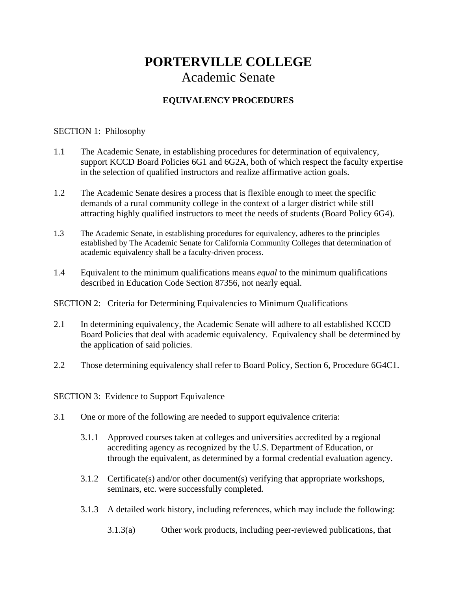## **PORTERVILLE COLLEGE**  Academic Senate

## **EQUIVALENCY PROCEDURES**

## SECTION 1: Philosophy

- 1.1 The Academic Senate, in establishing procedures for determination of equivalency, support KCCD Board Policies 6G1 and 6G2A, both of which respect the faculty expertise in the selection of qualified instructors and realize affirmative action goals.
- 1.2 The Academic Senate desires a process that is flexible enough to meet the specific demands of a rural community college in the context of a larger district while still attracting highly qualified instructors to meet the needs of students (Board Policy 6G4).
- 1.3 The Academic Senate, in establishing procedures for equivalency, adheres to the principles established by The Academic Senate for California Community Colleges that determination of academic equivalency shall be a faculty-driven process.
- 1.4 Equivalent to the minimum qualifications means *equal* to the minimum qualifications described in Education Code Section 87356, not nearly equal.

SECTION 2: Criteria for Determining Equivalencies to Minimum Qualifications

- 2.1 In determining equivalency, the Academic Senate will adhere to all established KCCD Board Policies that deal with academic equivalency. Equivalency shall be determined by the application of said policies.
- 2.2 Those determining equivalency shall refer to Board Policy, Section 6, Procedure 6G4C1.

SECTION 3: Evidence to Support Equivalence

- 3.1 One or more of the following are needed to support equivalence criteria:
	- 3.1.1 Approved courses taken at colleges and universities accredited by a regional accrediting agency as recognized by the U.S. Department of Education, or through the equivalent, as determined by a formal credential evaluation agency.
	- 3.1.2 Certificate(s) and/or other document(s) verifying that appropriate workshops, seminars, etc. were successfully completed.
	- 3.1.3 A detailed work history, including references, which may include the following:
		- 3.1.3(a) Other work products, including peer-reviewed publications, that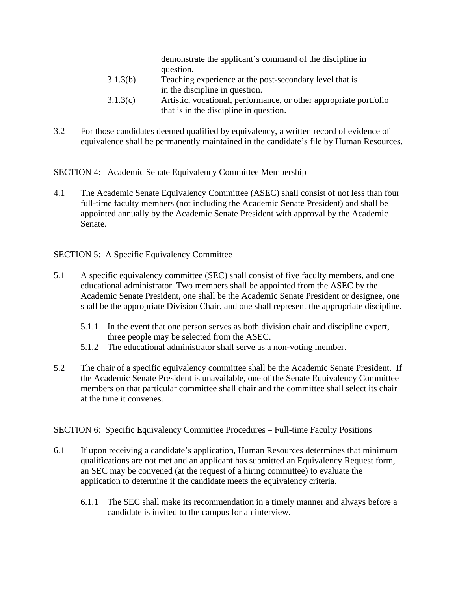demonstrate the applicant's command of the discipline in question.

- 3.1.3(b) Teaching experience at the post-secondary level that is in the discipline in question.
- 3.1.3(c) Artistic, vocational, performance, or other appropriate portfolio that is in the discipline in question.
- 3.2 For those candidates deemed qualified by equivalency, a written record of evidence of equivalence shall be permanently maintained in the candidate's file by Human Resources.

SECTION 4: Academic Senate Equivalency Committee Membership

4.1 The Academic Senate Equivalency Committee (ASEC) shall consist of not less than four full-time faculty members (not including the Academic Senate President) and shall be appointed annually by the Academic Senate President with approval by the Academic Senate.

SECTION 5: A Specific Equivalency Committee

- 5.1 A specific equivalency committee (SEC) shall consist of five faculty members, and one educational administrator. Two members shall be appointed from the ASEC by the Academic Senate President, one shall be the Academic Senate President or designee, one shall be the appropriate Division Chair, and one shall represent the appropriate discipline.
	- 5.1.1 In the event that one person serves as both division chair and discipline expert, three people may be selected from the ASEC.
	- 5.1.2 The educational administrator shall serve as a non-voting member.
- 5.2 The chair of a specific equivalency committee shall be the Academic Senate President. If the Academic Senate President is unavailable, one of the Senate Equivalency Committee members on that particular committee shall chair and the committee shall select its chair at the time it convenes.

SECTION 6: Specific Equivalency Committee Procedures – Full-time Faculty Positions

- 6.1 If upon receiving a candidate's application, Human Resources determines that minimum qualifications are not met and an applicant has submitted an Equivalency Request form, an SEC may be convened (at the request of a hiring committee) to evaluate the application to determine if the candidate meets the equivalency criteria.
	- 6.1.1 The SEC shall make its recommendation in a timely manner and always before a candidate is invited to the campus for an interview.